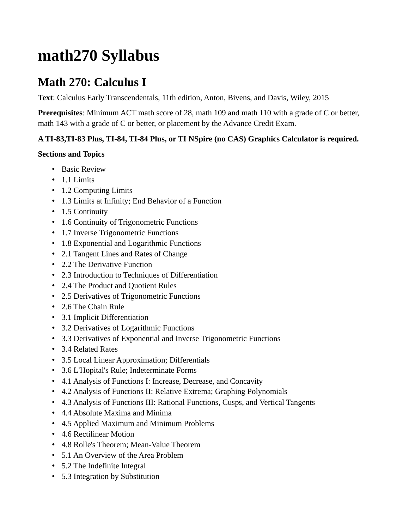## **math270 Syllabus**

## **Math 270: Calculus I**

**Text**: Calculus Early Transcendentals, 11th edition, Anton, Bivens, and Davis, Wiley, 2015

**Prerequisites**: Minimum ACT math score of 28, math 109 and math 110 with a grade of C or better, math 143 with a grade of C or better, or placement by the Advance Credit Exam.

## **A TI-83,TI-83 Plus, TI-84, TI-84 Plus, or TI NSpire (no CAS) Graphics Calculator is required.**

## **Sections and Topics**

- Basic Review
- 1.1 Limits
- 1.2 Computing Limits
- 1.3 Limits at Infinity; End Behavior of a Function
- 1.5 Continuity
- 1.6 Continuity of Trigonometric Functions
- 1.7 Inverse Trigonometric Functions
- 1.8 Exponential and Logarithmic Functions
- 2.1 Tangent Lines and Rates of Change
- 2.2 The Derivative Function
- 2.3 Introduction to Techniques of Differentiation
- 2.4 The Product and Quotient Rules
- 2.5 Derivatives of Trigonometric Functions
- 2.6 The Chain Rule
- 3.1 Implicit Differentiation
- 3.2 Derivatives of Logarithmic Functions
- 3.3 Derivatives of Exponential and Inverse Trigonometric Functions
- 3.4 Related Rates
- 3.5 Local Linear Approximation; Differentials
- 3.6 L'Hopital's Rule; Indeterminate Forms
- 4.1 Analysis of Functions I: Increase, Decrease, and Concavity
- 4.2 Analysis of Functions II: Relative Extrema; Graphing Polynomials
- 4.3 Analysis of Functions III: Rational Functions, Cusps, and Vertical Tangents
- 4.4 Absolute Maxima and Minima
- 4.5 Applied Maximum and Minimum Problems
- 4.6 Rectilinear Motion
- 4.8 Rolle's Theorem; Mean-Value Theorem
- 5.1 An Overview of the Area Problem
- 5.2 The Indefinite Integral
- 5.3 Integration by Substitution